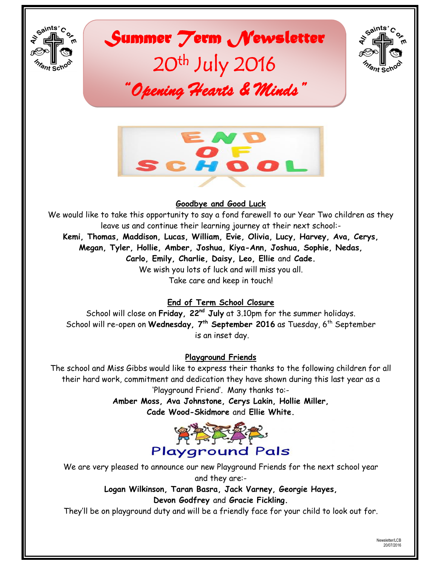

*Summer Term Newsletter*  20th July 2016 *"Opening Hearts & Minds"* 





# **Goodbye and Good Luck**

We would like to take this opportunity to say a fond farewell to our Year Two children as they leave us and continue their learning journey at their next school:- **Kemi, Thomas, Maddison, Lucas, William, Evie, Olivia, Lucy, Harvey, Ava, Cerys, Megan, Tyler, Hollie, Amber, Joshua, Kiya-Ann, Joshua, Sophie, Nedas, Carlo, Emily, Charlie, Daisy, Leo, Ellie** and **Cade.** We wish you lots of luck and will miss you all. Take care and keep in touch!

# **End of Term School Closure**

School will close on **Friday, 22nd July** at 3.10pm for the summer holidays. School will re-open on Wednesday, 7<sup>th</sup> September 2016 as Tuesday, 6<sup>th</sup> September is an inset day.

# **Playground Friends**

The school and Miss Gibbs would like to express their thanks to the following children for all their hard work, commitment and dedication they have shown during this last year as a "Playground Friend". Many thanks to:-

> **Amber Moss, Ava Johnstone, Cerys Lakin, Hollie Miller, Cade Wood-Skidmore** and **Ellie White.**



We are very pleased to announce our new Playground Friends for the next school year and they are:-

> **Logan Wilkinson, Taran Basra, Jack Varney, Georgie Hayes, Devon Godfrey** and **Gracie Fickling.**

They"ll be on playground duty and will be a friendly face for your child to look out for.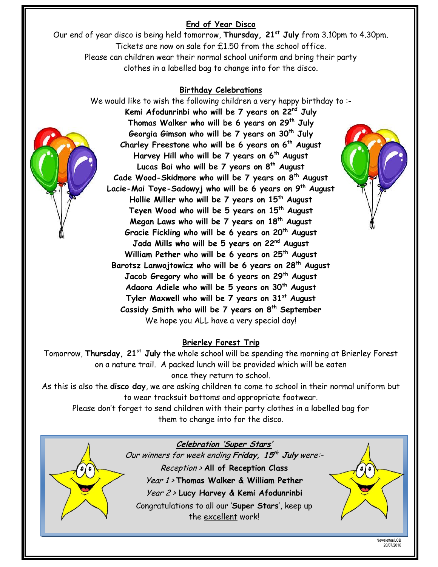# **End of Year Disco**

Our end of year disco is being held tomorrow, **Thursday, 21st July** from 3.10pm to 4.30pm. Tickets are now on sale for £1.50 from the school office. Please can children wear their normal school uniform and bring their party clothes in a labelled bag to change into for the disco.

## **Birthday Celebrations**

We would like to wish the following children a very happy birthday to :-**Kemi Afodunrinbi who will be 7 years on 22nd July Thomas Walker who will be 6 years on 29th July Georgia Gimson who will be 7 years on 30th July Charley Freestone who will be 6 years on 6th August Harvey Hill who will be 7 years on 6th August Lucas Bai who will be 7 years on 8th August Cade Wood-Skidmore who will be 7 years on 8th August Lacie-Mai Toye-Sadowyj who will be 6 years on 9th August Hollie Miller who will be 7 years on 15th August Teyen Wood who will be 5 years on 15th August Megan Laws who will be 7 years on 18th August Gracie Fickling who will be 6 years on 20th August Jada Mills who will be 5 years on 22nd August William Pether who will be 6 years on 25th August Barotsz Lanwojtowicz who will be 6 years on 28th August Jacob Gregory who will be 6 years on 29th August Adaora Adiele who will be 5 years on 30th August Tyler Maxwell who will be 7 years on 31st August Cassidy Smith who will be 7 years on 8th September** We hope you ALL have a very special day!

## **Brierley Forest Trip**

Tomorrow, **Thursday, 21st July** the whole school will be spending the morning at Brierley Forest on a nature trail. A packed lunch will be provided which will be eaten once they return to school.

As this is also the **disco day**, we are asking children to come to school in their normal uniform but to wear tracksuit bottoms and appropriate footwear.

Please don"t forget to send children with their party clothes in a labelled bag for them to change into for the disco.



**Celebration 'Super Stars'** Our winners for week ending **Friday, 15 th July** were:- Reception > **All of Reception Class** Year 1 > **Thomas Walker & William Pether** Year 2 <sup>&</sup>gt; **Lucy Harvey & Kemi Afodunrinbi** Congratulations to all our "**Super Stars**", keep up the excellent work!

> Newsletter/LCB 20/07/2016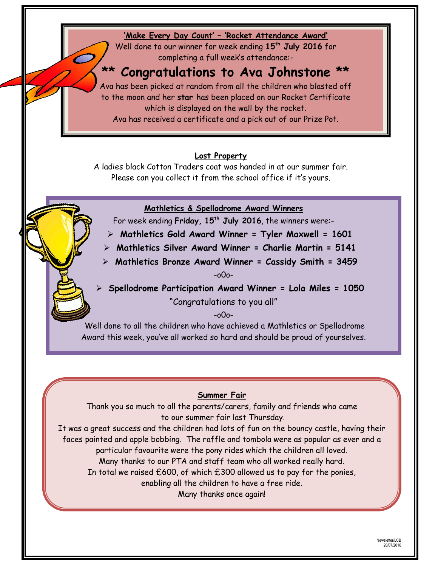## **'Make Every Day Count' – 'Rocket Attendance Award'**

Well done to our winner for week ending **15th July 2016** for completing a full week's attendance:-

# **\*\* Congratulations to Ava Johnstone \*\***

Ava has been picked at random from all the children who blasted off to the moon and her **star** has been placed on our Rocket Certificate which is displayed on the wall by the rocket.

Ava has received a certificate and a pick out of our Prize Pot.

## **Lost Property**

A ladies black Cotton Traders coat was handed in at our summer fair. Please can you collect it from the school office if it's yours.

## **Mathletics & Spellodrome Award Winners**

For week ending **Friday, 15th July 2016**, the winners were:-

- **Mathletics Gold Award Winner = Tyler Maxwell = 1601**
- **Mathletics Silver Award Winner = Charlie Martin = 5141**
- **Mathletics Bronze Award Winner = Cassidy Smith = 3459** -o0o-

 **Spellodrome Participation Award Winner = Lola Miles = 1050** "Congratulations to you all"

-o0o-

Well done to all the children who have achieved a Mathletics or Spellodrome Award this week, you"ve all worked so hard and should be proud of yourselves.

#### **Summer Fair**

Thank you so much to all the parents/carers, family and friends who came to our summer fair last Thursday.

It was a great success and the children had lots of fun on the bouncy castle, having their faces painted and apple bobbing. The raffle and tombola were as popular as ever and a particular favourite were the pony rides which the children all loved. Many thanks to our PTA and staff team who all worked really hard. In total we raised  $£600$ , of which  $£300$  allowed us to pay for the ponies,

enabling all the children to have a free ride.

Many thanks once again!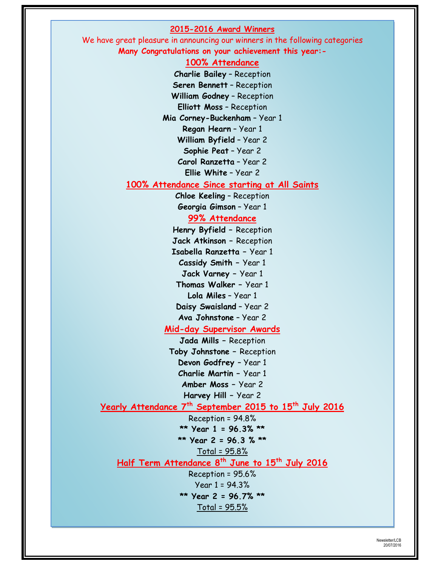#### **2015-2016 Award Winners**

We have great pleasure in announcing our winners in the following categories **Many Congratulations on your achievement this year:-**

#### **100% Attendance**

**Charlie Bailey** – Reception **Seren Bennett** – Reception **William Godney** – Reception **Elliott Moss** – Reception **Mia Corney-Buckenham** – Year 1 **Regan Hearn** – Year 1 **William Byfield** – Year 2 **Sophie Peat** – Year 2 **Carol Ranzetta** – Year 2 **Ellie White** – Year 2

#### **100% Attendance Since starting at All Saints**

**Chloe Keeling** – Reception **Georgia Gimson** – Year 1

#### **99% Attendance**

**Henry Byfield –** Reception **Jack Atkinson –** Reception **Isabella Ranzetta –** Year 1 **Cassidy Smith –** Year 1 **Jack Varney –** Year 1 **Thomas Walker –** Year 1 **Lola Miles** – Year 1 **Daisy Swaisland** – Year 2 **Ava Johnstone** – Year 2 **Mid-day Supervisor Awards Jada Mills –** Reception **Toby Johnstone –** Reception **Devon Godfrey** – Year 1 **Charlie Martin –** Year 1 **Amber Moss –** Year 2 **Harvey Hill –** Year 2

## **Yearly Attendance 7th September 2015 to 15th July 2016**

Reception = 94.8% **\*\* Year 1 = 96.3% \*\* \*\* Year 2 = 96.3 % \*\*** Total = 95.8% **Half Term Attendance 8th June to 15th July 2016** Reception = 95.6% Year 1 = 94.3% **\*\* Year 2 = 96.7% \*\*** Total = 95.5%